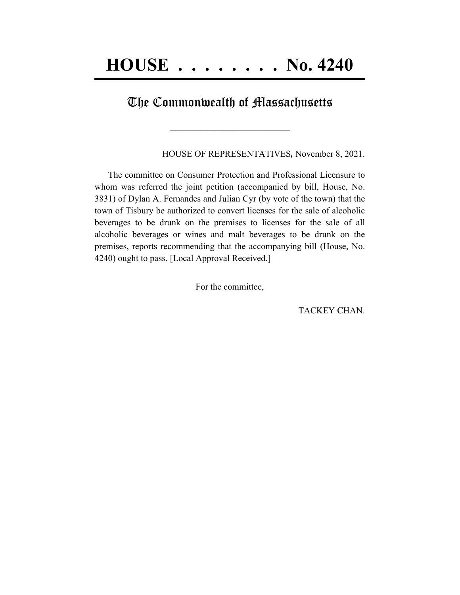## The Commonwealth of Massachusetts

 $\mathcal{L}=\{1,2,3,4,5\}$ 

HOUSE OF REPRESENTATIVES*,* November 8, 2021.

The committee on Consumer Protection and Professional Licensure to whom was referred the joint petition (accompanied by bill, House, No. 3831) of Dylan A. Fernandes and Julian Cyr (by vote of the town) that the town of Tisbury be authorized to convert licenses for the sale of alcoholic beverages to be drunk on the premises to licenses for the sale of all alcoholic beverages or wines and malt beverages to be drunk on the premises, reports recommending that the accompanying bill (House, No. 4240) ought to pass. [Local Approval Received.]

For the committee,

TACKEY CHAN.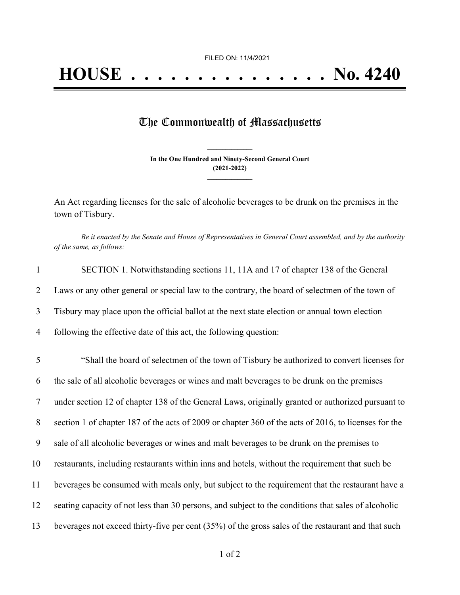## The Commonwealth of Massachusetts

**In the One Hundred and Ninety-Second General Court (2021-2022) \_\_\_\_\_\_\_\_\_\_\_\_\_\_\_**

**\_\_\_\_\_\_\_\_\_\_\_\_\_\_\_**

An Act regarding licenses for the sale of alcoholic beverages to be drunk on the premises in the town of Tisbury.

Be it enacted by the Senate and House of Representatives in General Court assembled, and by the authority *of the same, as follows:*

| $\mathbf{1}$   | SECTION 1. Notwithstanding sections 11, 11A and 17 of chapter 138 of the General                     |
|----------------|------------------------------------------------------------------------------------------------------|
| 2              | Laws or any other general or special law to the contrary, the board of selectmen of the town of      |
| $\overline{3}$ | Tisbury may place upon the official ballot at the next state election or annual town election        |
| $\overline{4}$ | following the effective date of this act, the following question:                                    |
| 5              | "Shall the board of selectmen of the town of Tisbury be authorized to convert licenses for           |
| 6              | the sale of all alcoholic beverages or wines and malt beverages to be drunk on the premises          |
| $\overline{7}$ | under section 12 of chapter 138 of the General Laws, originally granted or authorized pursuant to    |
| 8              | section 1 of chapter 187 of the acts of 2009 or chapter 360 of the acts of 2016, to licenses for the |
| 9              | sale of all alcoholic beverages or wines and malt beverages to be drunk on the premises to           |
| 10             | restaurants, including restaurants within inns and hotels, without the requirement that such be      |
| 11             | beverages be consumed with meals only, but subject to the requirement that the restaurant have a     |
| 12             | seating capacity of not less than 30 persons, and subject to the conditions that sales of alcoholic  |
| 13             | beverages not exceed thirty-five per cent (35%) of the gross sales of the restaurant and that such   |
|                |                                                                                                      |